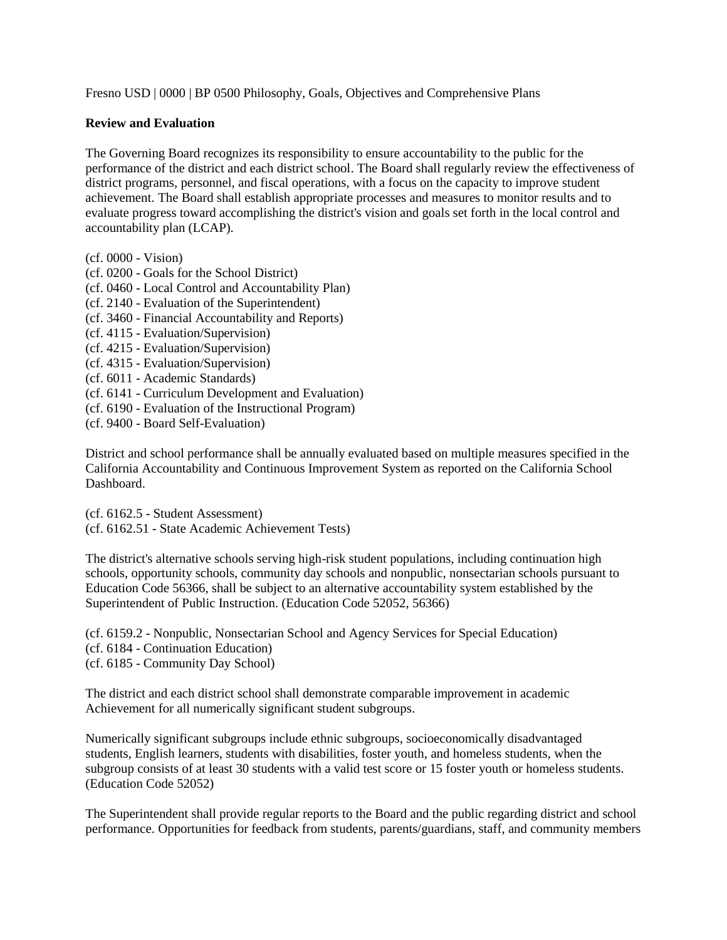Fresno USD | 0000 | BP 0500 Philosophy, Goals, Objectives and Comprehensive Plans

## **Review and Evaluation**

The Governing Board recognizes its responsibility to ensure accountability to the public for the performance of the district and each district school. The Board shall regularly review the effectiveness of district programs, personnel, and fiscal operations, with a focus on the capacity to improve student achievement. The Board shall establish appropriate processes and measures to monitor results and to evaluate progress toward accomplishing the district's vision and goals set forth in the local control and accountability plan (LCAP).

- (cf. 0000 Vision)
- (cf. 0200 Goals for the School District)
- (cf. 0460 Local Control and Accountability Plan)
- (cf. 2140 Evaluation of the Superintendent)
- (cf. 3460 Financial Accountability and Reports)
- (cf. 4115 Evaluation/Supervision)
- (cf. 4215 Evaluation/Supervision)
- (cf. 4315 Evaluation/Supervision)
- (cf. 6011 Academic Standards)
- (cf. 6141 Curriculum Development and Evaluation)
- (cf. 6190 Evaluation of the Instructional Program)
- (cf. 9400 Board Self-Evaluation)

District and school performance shall be annually evaluated based on multiple measures specified in the California Accountability and Continuous Improvement System as reported on the California School Dashboard.

(cf. 6162.5 - Student Assessment) (cf. 6162.51 - State Academic Achievement Tests)

The district's alternative schools serving high-risk student populations, including continuation high schools, opportunity schools, community day schools and nonpublic, nonsectarian schools pursuant to Education Code 56366, shall be subject to an alternative accountability system established by the Superintendent of Public Instruction. (Education Code 52052, 56366)

(cf. 6159.2 - Nonpublic, Nonsectarian School and Agency Services for Special Education) (cf. 6184 - Continuation Education) (cf. 6185 - Community Day School)

The district and each district school shall demonstrate comparable improvement in academic Achievement for all numerically significant student subgroups.

Numerically significant subgroups include ethnic subgroups, socioeconomically disadvantaged students, English learners, students with disabilities, foster youth, and homeless students, when the subgroup consists of at least 30 students with a valid test score or 15 foster youth or homeless students. (Education Code 52052)

The Superintendent shall provide regular reports to the Board and the public regarding district and school performance. Opportunities for feedback from students, parents/guardians, staff, and community members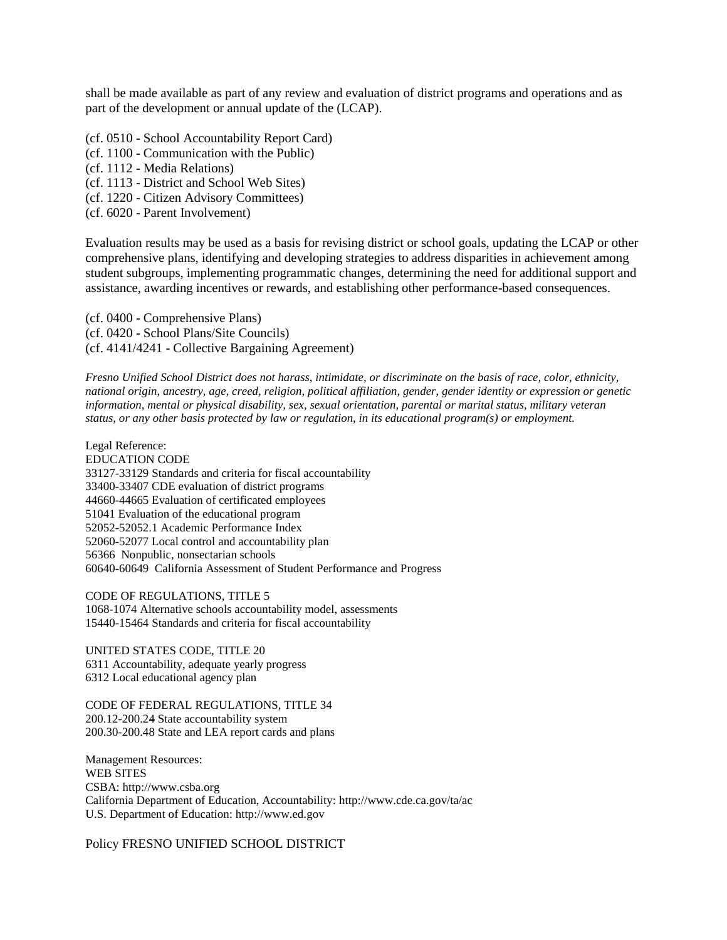shall be made available as part of any review and evaluation of district programs and operations and as part of the development or annual update of the (LCAP).

- (cf. 0510 School Accountability Report Card)
- (cf. 1100 Communication with the Public)
- (cf. 1112 Media Relations)
- (cf. 1113 District and School Web Sites)
- (cf. 1220 Citizen Advisory Committees)
- (cf. 6020 Parent Involvement)

Evaluation results may be used as a basis for revising district or school goals, updating the LCAP or other comprehensive plans, identifying and developing strategies to address disparities in achievement among student subgroups, implementing programmatic changes, determining the need for additional support and assistance, awarding incentives or rewards, and establishing other performance-based consequences.

(cf. 0400 - Comprehensive Plans) (cf. 0420 - School Plans/Site Councils) (cf. 4141/4241 - Collective Bargaining Agreement)

*Fresno Unified School District does not harass, intimidate, or discriminate on the basis of race, color, ethnicity, national origin, ancestry, age, creed, religion, political affiliation, gender, gender identity or expression or genetic information, mental or physical disability, sex, sexual orientation, parental or marital status, military veteran status, or any other basis protected by law or regulation, in its educational program(s) or employment.*

Legal Reference: EDUCATION CODE 33127-33129 Standards and criteria for fiscal accountability 33400-33407 CDE evaluation of district programs 44660-44665 Evaluation of certificated employees 51041 Evaluation of the educational program 52052-52052.1 Academic Performance Index 52060-52077 Local control and accountability plan 56366 Nonpublic, nonsectarian schools 60640-60649 California Assessment of Student Performance and Progress

CODE OF REGULATIONS, TITLE 5 1068-1074 Alternative schools accountability model, assessments 15440-15464 Standards and criteria for fiscal accountability

UNITED STATES CODE, TITLE 20 6311 Accountability, adequate yearly progress 6312 Local educational agency plan

CODE OF FEDERAL REGULATIONS, TITLE 34 200.12-200.24 State accountability system 200.30-200.48 State and LEA report cards and plans

Management Resources: WEB SITES CSBA: http://www.csba.org California Department of Education, Accountability: http://www.cde.ca.gov/ta/ac U.S. Department of Education: http://www.ed.gov

Policy FRESNO UNIFIED SCHOOL DISTRICT